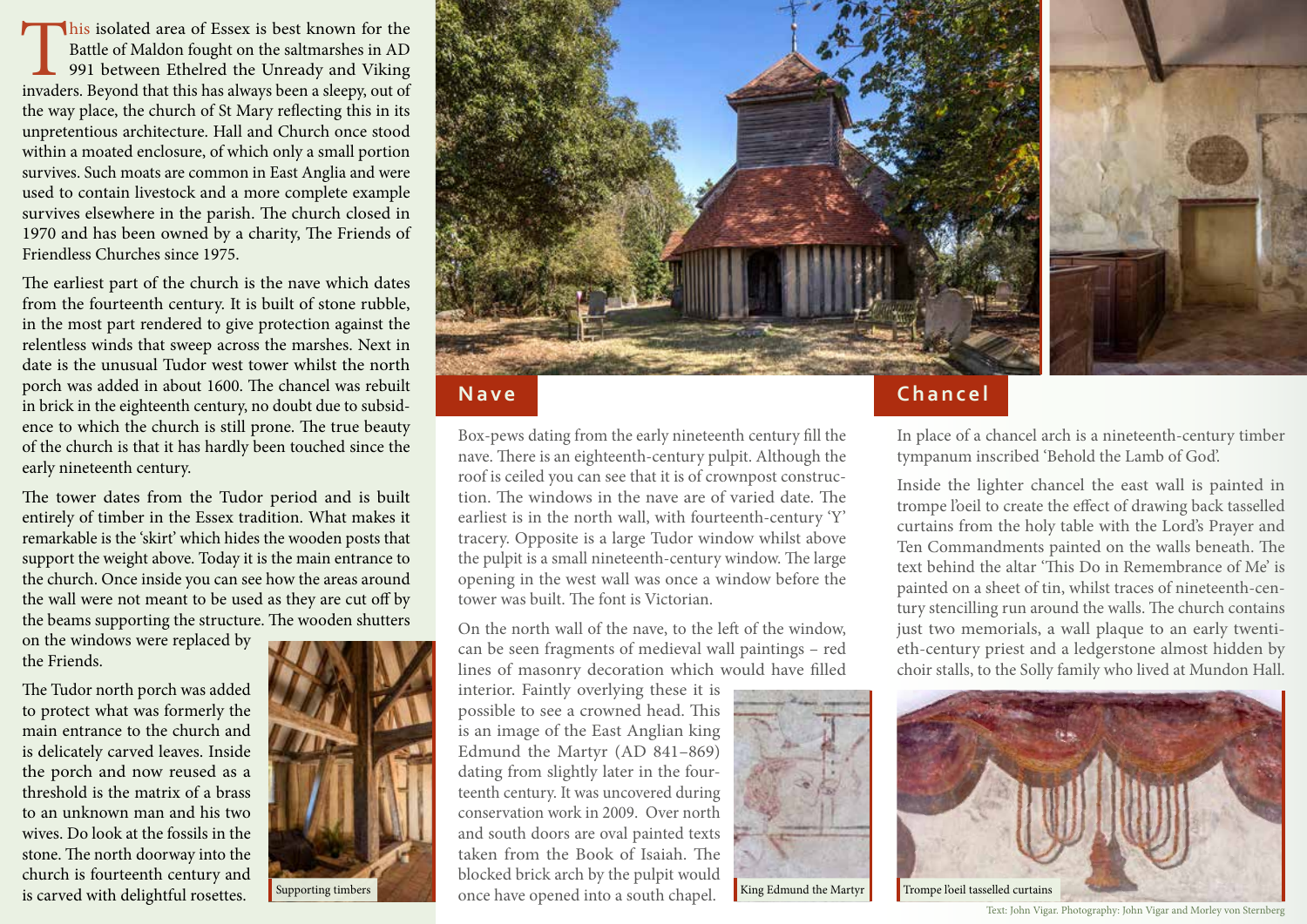his isolated area of Essex is best known for the Battle of Maldon fought on the saltmarshes in AD 991 between Ethelred the Unready and Viking invaders. Beyond that this has always been a sleepy, out of Battle of Maldon fought on the saltmarshes in AD 991 between Ethelred the Unready and Viking the way place, the church of St Mary reflecting this in its unpretentious architecture. Hall and Church once stood within a moated enclosure, of which only a small portion survives. Such moats are common in East Anglia and were used to contain livestock and a more complete example survives elsewhere in the parish. The church closed in 1970 and has been owned by a charity, The Friends of Friendless Churches since 1975.

The earliest part of the church is the nave which dates from the fourteenth century. It is built of stone rubble, in the most part rendered to give protection against the relentless winds that sweep across the marshes. Next in date is the unusual Tudor west tower whilst the north porch was added in about 1600. The chancel was rebuilt in brick in the eighteenth century, no doubt due to subsidence to which the church is still prone. The true beauty of the church is that it has hardly been touched since the early nineteenth century.

The tower dates from the Tudor period and is built entirely of timber in the Essex tradition. What makes it remarkable is the 'skirt' which hides the wooden posts that support the weight above. Today it is the main entrance to the church. Once inside you can see how the areas around the wall were not meant to be used as they are cut off by the beams supporting the structure. The wooden shutters

on the windows were replaced by the Friends.

The Tudor north porch was added to protect what was formerly the main entrance to the church and is delicately carved leaves. Inside the porch and now reused as a threshold is the matrix of a brass to an unknown man and his two wives. Do look at the fossils in the stone. The north doorway into the church is fourteenth century and is carved with delightful rosettes.





## **Nave**

Box-pews dating from the early nineteenth century fill the nave. There is an eighteenth-century pulpit. Although the roof is ceiled you can see that it is of crownpost construction. The windows in the nave are of varied date. The earliest is in the north wall, with fourteenth-century 'Y' tracery. Opposite is a large Tudor window whilst above the pulpit is a small nineteenth-century window. The large opening in the west wall was once a window before the tower was built. The font is Victorian.

On the north wall of the nave, to the left of the window, can be seen fragments of medieval wall paintings – red lines of masonry decoration which would have filled

interior. Faintly overlying these it is possible to see a crowned head. This is an image of the East Anglian king Edmund the Martyr (AD 841–869) dating from slightly later in the fourteenth century. It was uncovered during conservation work in 2009. Over north and south doors are oval painted texts taken from the Book of Isaiah. The blocked brick arch by the pulpit would Supporting timbers **Conceptual Conceptual** once have opened into a south chapel. **King Edmund the Martyr** Trompe loeil tasselled curtains



# **Chancel**

In place of a chancel arch is a nineteenth-century timber tympanum inscribed 'Behold the Lamb of God'.

Inside the lighter chancel the east wall is painted in trompe l'oeil to create the effect of drawing back tasselled curtains from the holy table with the Lord's Prayer and Ten Commandments painted on the walls beneath. The text behind the altar 'This Do in Remembrance of Me' is painted on a sheet of tin, whilst traces of nineteenth-century stencilling run around the walls. The church contains just two memorials, a wall plaque to an early twentieth-century priest and a ledgerstone almost hidden by choir stalls, to the Solly family who lived at Mundon Hall.



Text: John Vigar. Photography: John Vigar and Morley von Sternberg